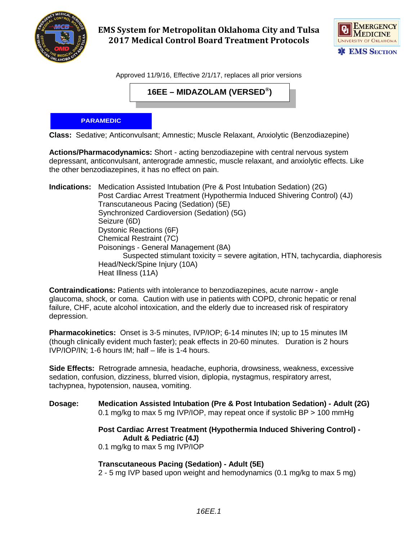

**EMS System for Metropolitan Oklahoma City and Tulsa 2017 Medical Control Board Treatment Protocols** 



Approved 11/9/16, Effective 2/1/17, replaces all prior versions

**16EE – MIDAZOLAM (VERSED®)**

## **PARAMEDIC**

**Class:** Sedative; Anticonvulsant; Amnestic; Muscle Relaxant, Anxiolytic (Benzodiazepine)

**Actions/Pharmacodynamics:** Short - acting benzodiazepine with central nervous system depressant, anticonvulsant, anterograde amnestic, muscle relaxant, and anxiolytic effects. Like the other benzodiazepines, it has no effect on pain.

**Indications:** Medication Assisted Intubation (Pre & Post Intubation Sedation) (2G) Post Cardiac Arrest Treatment (Hypothermia Induced Shivering Control) (4J) Transcutaneous Pacing (Sedation) (5E) Synchronized Cardioversion (Sedation) (5G) Seizure (6D) Dystonic Reactions (6F) Chemical Restraint (7C) Poisonings - General Management (8A) Suspected stimulant toxicity = severe agitation, HTN, tachycardia, diaphoresis Head/Neck/Spine Injury (10A) Heat Illness (11A)

**Contraindications:** Patients with intolerance to benzodiazepines, acute narrow - angle glaucoma, shock, or coma. Caution with use in patients with COPD, chronic hepatic or renal failure, CHF, acute alcohol intoxication, and the elderly due to increased risk of respiratory depression.

**Pharmacokinetics:** Onset is 3-5 minutes, IVP/IOP; 6-14 minutes IN; up to 15 minutes IM (though clinically evident much faster); peak effects in 20-60 minutes. Duration is 2 hours IVP/IOP/IN; 1-6 hours IM; half – life is 1-4 hours.

**Side Effects:** Retrograde amnesia, headache, euphoria, drowsiness, weakness, excessive sedation, confusion, dizziness, blurred vision, diplopia, nystagmus, respiratory arrest, tachypnea, hypotension, nausea, vomiting.

**Dosage: Medication Assisted Intubation (Pre & Post Intubation Sedation) - Adult (2G)** 0.1 mg/kg to max 5 mg IVP/IOP, may repeat once if systolic BP > 100 mmHg

> **Post Cardiac Arrest Treatment (Hypothermia Induced Shivering Control) - Adult & Pediatric (4J)**

0.1 mg/kg to max 5 mg IVP/IOP

**Transcutaneous Pacing (Sedation) - Adult (5E)**

2 - 5 mg IVP based upon weight and hemodynamics (0.1 mg/kg to max 5 mg)